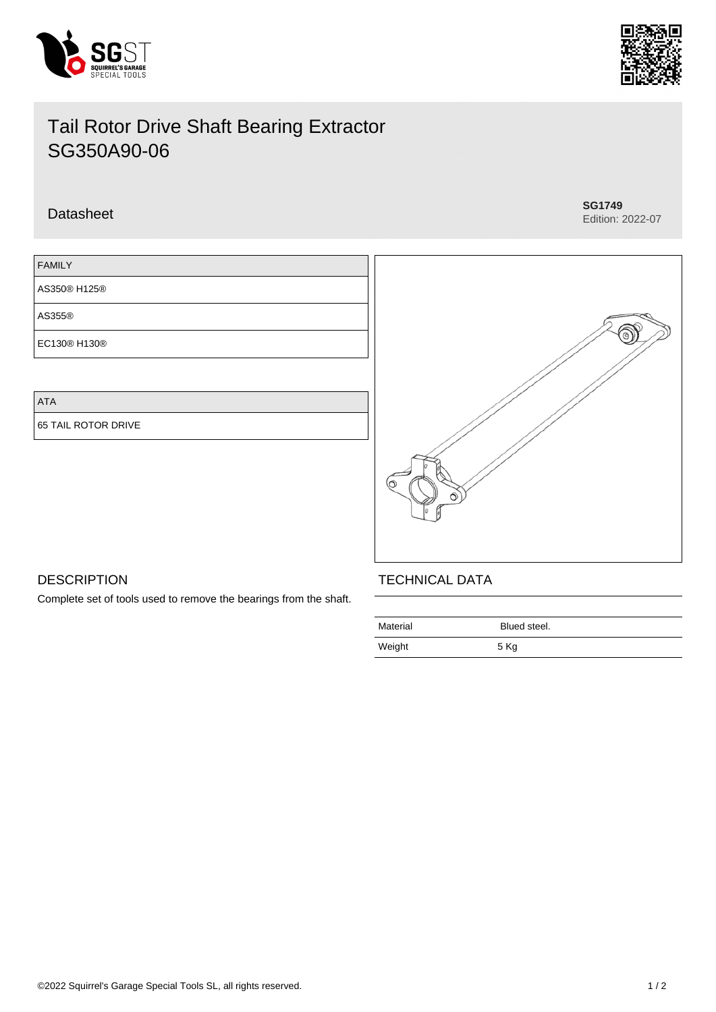



# Tail Rotor Drive Shaft Bearing Extractor SG350A90-06

## Datasheet **SG1749**

Edition: 2022-07



ATA

65 TAIL ROTOR DRIVE



## **DESCRIPTION**

Complete set of tools used to remove the bearings from the shaft.

## TECHNICAL DATA

| Material | Blued steel. |
|----------|--------------|
| Weight   | 5 Kg         |